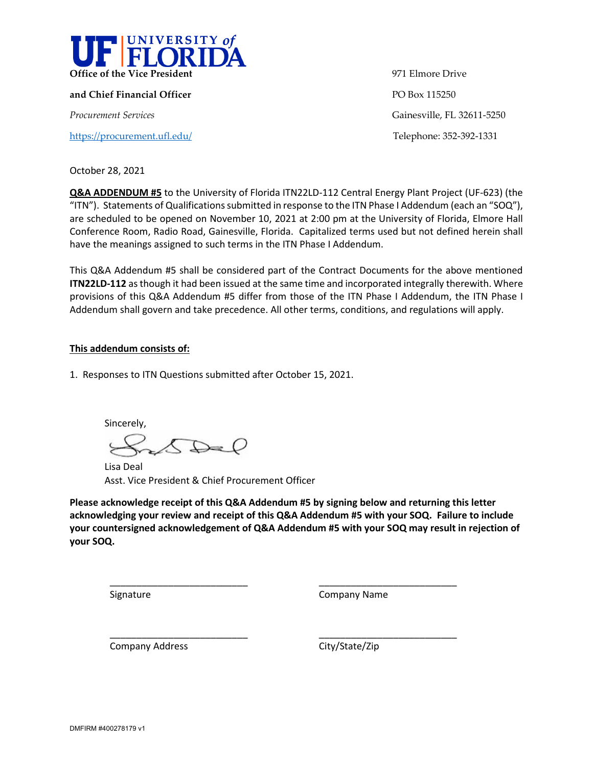

**and Chief Financial Officer PO Box 115250** 

<https://procurement.ufl.edu/>Telephone: 352-392-1331

**Office of the Vice President** 971 Elmore Drive *Procurement Services* Gainesville, FL 32611-5250

October 28, 2021

**Q&A ADDENDUM #5** to the University of Florida ITN22LD-112 Central Energy Plant Project (UF-623) (the "ITN"). Statements of Qualifications submitted in response to the ITN Phase I Addendum (each an "SOQ"), are scheduled to be opened on November 10, 2021 at 2:00 pm at the University of Florida, Elmore Hall Conference Room, Radio Road, Gainesville, Florida. Capitalized terms used but not defined herein shall have the meanings assigned to such terms in the ITN Phase I Addendum.

This Q&A Addendum #5 shall be considered part of the Contract Documents for the above mentioned **ITN22LD-112** as though it had been issued at the same time and incorporated integrally therewith. Where provisions of this Q&A Addendum #5 differ from those of the ITN Phase I Addendum, the ITN Phase I Addendum shall govern and take precedence. All other terms, conditions, and regulations will apply.

## **This addendum consists of:**

1. Responses to ITN Questions submitted after October 15, 2021.

Sincerely,  $\bigcirc$ 

\_\_\_\_\_\_\_\_\_\_\_\_\_\_\_\_\_\_\_\_\_\_\_\_\_\_

\_\_\_\_\_\_\_\_\_\_\_\_\_\_\_\_\_\_\_\_\_\_\_\_\_\_

Lisa Deal Asst. Vice President & Chief Procurement Officer

**Please acknowledge receipt of this Q&A Addendum #5 by signing below and returning this letter acknowledging your review and receipt of this Q&A Addendum #5 with your SOQ. Failure to include your countersigned acknowledgement of Q&A Addendum #5 with your SOQ may result in rejection of your SOQ.**

Signature

Company Name

\_\_\_\_\_\_\_\_\_\_\_\_\_\_\_\_\_\_\_\_\_\_\_\_\_\_

\_\_\_\_\_\_\_\_\_\_\_\_\_\_\_\_\_\_\_\_\_\_\_\_\_\_

Company Address

City/State/Zip